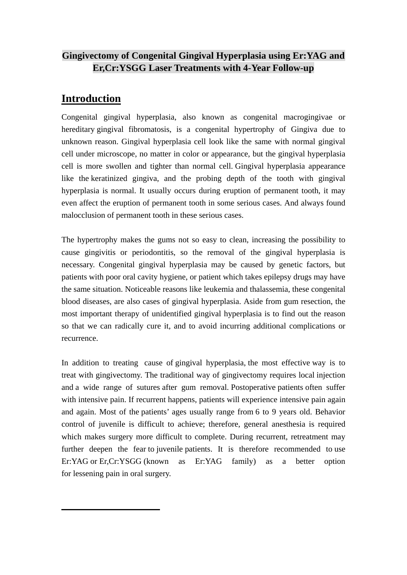### **Gingivectomy of Congenital Gingival Hyperplasia using Er:YAG and Er,Cr:YSGG Laser Treatments with 4-Year Follow-up**

## **Introduction**

Congenital gingival hyperplasia, also known as congenital macrogingivae or hereditary gingival fibromatosis, is a congenital hypertrophy of Gingiva due to unknown reason. Gingival hyperplasia cell look like the same with normal gingival cell under microscope, no matter in color or appearance, but the gingival hyperplasia cell is more swollen and tighter than normal cell. Gingival hyperplasia appearance like the keratinized gingiva, and the probing depth of the tooth with gingival hyperplasia is normal. It usually occurs during eruption of permanent tooth, it may even affect the eruption of permanent tooth in some serious cases. And always found malocclusion of permanent tooth in these serious cases.

The hypertrophy makes the gums not so easy to clean, increasing the possibility to cause gingivitis or periodontitis, so the removal of the gingival hyperplasia is necessary. Congenital gingival hyperplasia may be caused by genetic factors, but patients with poor oral cavity hygiene, or patient which takes epilepsy drugs may have the same situation. Noticeable reasons like leukemia and thalassemia, these congenital blood diseases, are also cases of gingival hyperplasia. Aside from gum resection, the most important therapy of unidentified gingival hyperplasia is to find out the reason so that we can radically cure it, and to avoid incurring additional complications or recurrence.

In addition to treating cause of gingival hyperplasia, the most effective way is to treat with gingivectomy. The traditional way of gingivectomy requires local injection and a wide range of sutures after gum removal. Postoperative patients often suffer with intensive pain. If recurrent happens, patients will experience intensive pain again and again. Most of the patients' ages usually range from 6 to 9 years old. Behavior control of juvenile is difficult to achieve; therefore, general anesthesia is required which makes surgery more difficult to complete. During recurrent, retreatment may further deepen the fear to juvenile patients. It is therefore recommended to use Er:YAG or Er,Cr:YSGG (known as Er:YAG family) as a better option for lessening pain in oral surgery.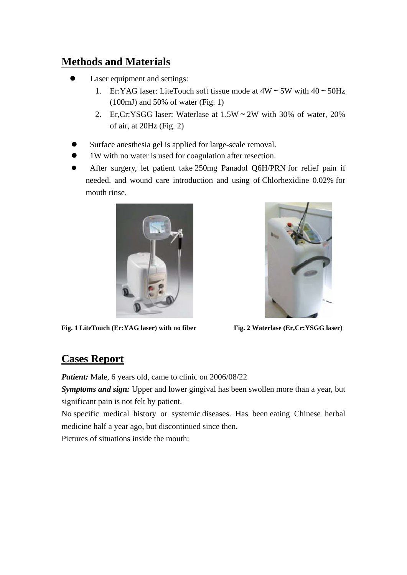# **Methods and Materials**

- Laser equipment and settings:
	- 1. Er:YAG laser: LiteTouch soft tissue mode at  $4W \sim 5W$  with  $40 \sim 50Hz$ (100mJ) and 50% of water (Fig. 1)
	- 2. Er,Cr:YSGG laser: Waterlase at 1.5W~2W with 30% of water, 20% of air, at 20Hz (Fig. 2)
- Surface anesthesia gel is applied for large-scale removal.
- 1W with no water is used for coagulation after resection.
- After surgery, let patient take 250mg Panadol Q6H/PRN for relief pain if needed. and wound care introduction and using of Chlorhexidine 0.02% for mouth rinse.



Fig. 1 LiteTouch (Er:YAG laser) with no fiber Fig. 2 Waterlase (Er,Cr:YSGG laser)



# **Cases Report**

*Patient:* Male, 6 years old, came to clinic on 2006/08/22

*Symptoms and sign:* Upper and lower gingival has been swollen more than a year, but significant pain is not felt by patient.

No specific medical history or systemic diseases. Has been eating Chinese herbal medicine half a year ago, but discontinued since then.

Pictures of situations inside the mouth: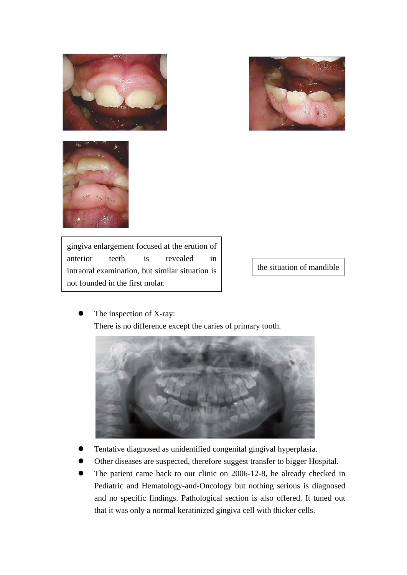





gingiva enlargement focused at the erution of anterior teeth is revealed in intraoral examination, but similar situation is not founded in the first molar.

the situation of mandible

The inspection of X-ray: There is no difference except the caries of primary tooth.



- Tentative diagnosed as unidentified congenital gingival hyperplasia.
- Other diseases are suspected, therefore suggest transfer to bigger Hospital.
- The patient came back to our clinic on 2006-12-8, he already checked in Pediatric and Hematology-and-Oncology but nothing serious is diagnosed and no specific findings. Pathological section is also offered. It tuned out that it was only a normal keratinized gingiva cell with thicker cells.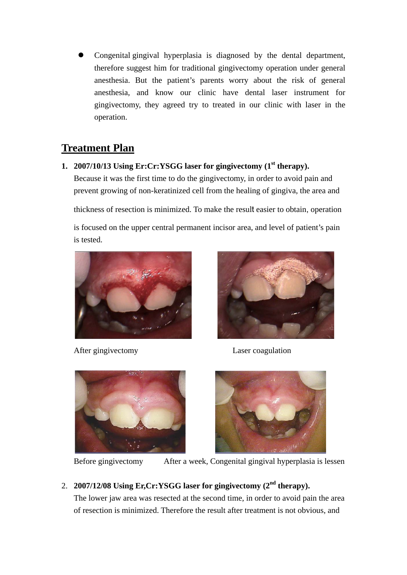Congenital gingival hyperplasia is diagnosed by the dental department, therefore suggest him for traditional gingivectomy operation under general anesthesia. But the patient's parents worry about the risk of general anesthesia, and know our clinic have dental laser instrument for gingivectomy, they agreed try to treated in our clinic with laser in the operation.

## **Treatment Plan**

**1. 2007/10/13 Using Er:Cr:YSGG laser for gingivectomy (1st therapy).** Because it was the first time to do the gingivectomy, in order to avoid pain and prevent growing of non-keratinized cell from the healing of gingiva, the area and

thickness of resection is minimized. To make the result easier to obtain, operation

is focused on the upper central permanent incisor area, and level of patient's pain is tested.



After gingivectomy Laser coagulation







Before gingivectomy After a week, Congenital gingival hyperplasia is lessen

### 2. **2007/12/08 Using Er,Cr:YSGG laser for gingivectomy (2nd therapy).**

The lower jaw area was resected at the second time, in order to avoid pain the area of resection is minimized. Therefore the result after treatment is not obvious, and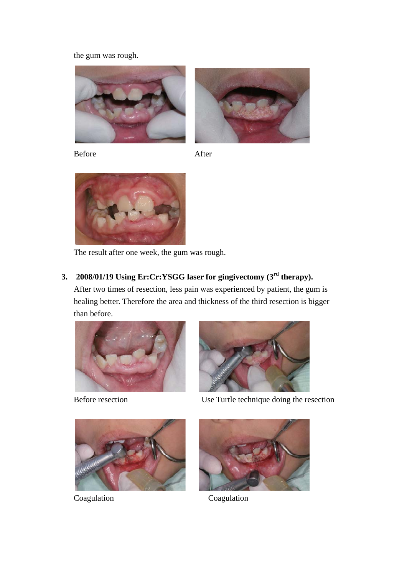the gum was rough.



Before After



The result after one week, the gum was rough.

### **3. 2008/01/19 Using Er:Cr:YSGG laser for gingivectomy (3rd therapy).**

After two times of resection, less pain was experienced by patient, the gum is healing better. Therefore the area and thickness of the third resection is bigger than before.





Before resection Use Turtle technique doing the resection





Coagulation Coagulation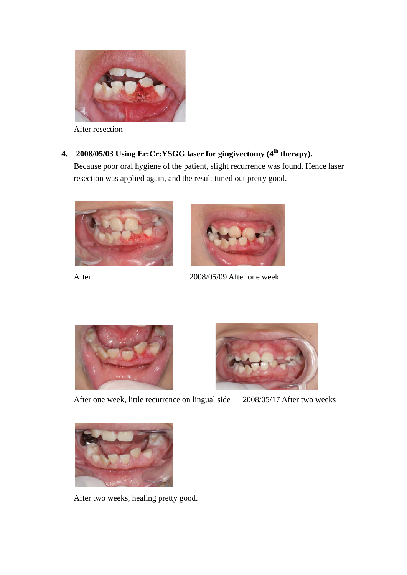

After resection

# **4. 2008/05/03** Using Er:Cr:YSGG laser for gingivectomy (4<sup>th</sup> therapy).

Because poor oral hygiene of the patient, slight recurrence was found. Hence laser resection was applied again, and the result tuned out pretty good.







After 2008/05/09 After one week





After one week, little recurrence on lingual side 2008/05/17 After two weeks



After two weeks, healing pretty good.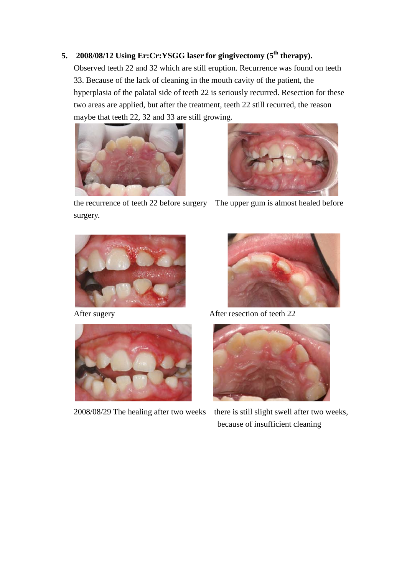### **5. 2008/08/12 Using Er:Cr:YSGG laser for gingivectomy (5<sup>th</sup> therapy).**

Observed teeth 22 and 32 which are still eruption. Recurrence was found on teeth 33. Because of the lack of cleaning in the mouth cavity of the patient, the hyperplasia of the palatal side of teeth 22 is seriously recurred. Resection for these two areas are applied, but after the treatment, teeth 22 still recurred, the reason maybe that teeth 22, 32 and 33 are still growing.





the recurrence of teeth 22 before surgery The upper gum is almost healed before surgery.







After sugery **After resection of teeth 22** 



2008/08/29 The healing after two weeks there is still slight swell after two weeks, because of insufficient cleaning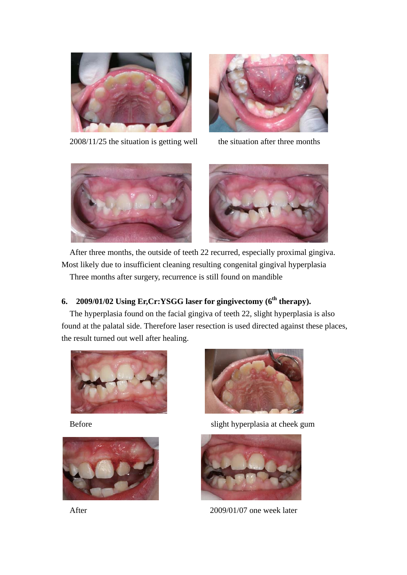

2008/11/25 the situation is getting well the situation after three months





After three months, the outside of teeth 22 recurred, especially proximal gingiva. Most likely due to insufficient cleaning resulting congenital gingival hyperplasia Three months after surgery, recurrence is still found on mandible

### **6. 2009/01/02 Using Er,Cr:YSGG laser for gingivectomy (6<sup>th</sup> therapy).**

The hyperplasia found on the facial gingiva of teeth 22, slight hyperplasia is also found at the palatal side. Therefore laser resection is used directed against these places, the result turned out well after healing.







Before slight hyperplasia at cheek gum



After 2009/01/07 one week later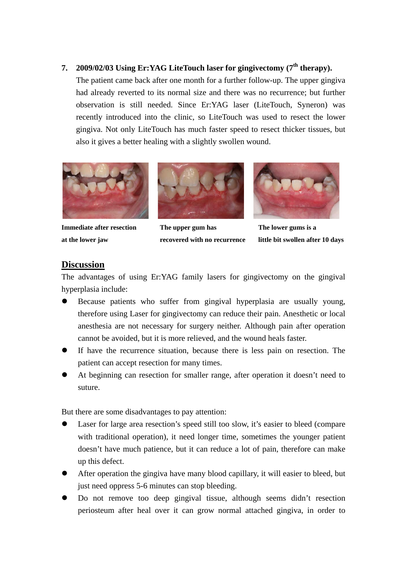#### **7. 2009/02/03 Using Er:YAG LiteTouch laser for gingivectomy (7<sup>th</sup> therapy).**

The patient came back after one month for a further follow-up. The upper gingiva had already reverted to its normal size and there was no recurrence; but further observation is still needed. Since Er:YAG laser (LiteTouch, Syneron) was recently introduced into the clinic, so LiteTouch was used to resect the lower gingiva. Not only LiteTouch has much faster speed to resect thicker tissues, but also it gives a better healing with a slightly swollen wound.





**Immediate after resection** The upper gum has The lower gums is a



**at the lower jaw recovered with no recurrence little bit swollen after 10 days** 

#### **Discussion**

The advantages of using Er:YAG family lasers for gingivectomy on the gingival hyperplasia include:

- Because patients who suffer from gingival hyperplasia are usually young, therefore using Laser for gingivectomy can reduce their pain. Anesthetic or local anesthesia are not necessary for surgery neither. Although pain after operation cannot be avoided, but it is more relieved, and the wound heals faster.
- If have the recurrence situation, because there is less pain on resection. The patient can accept resection for many times.
- At beginning can resection for smaller range, after operation it doesn't need to suture.

But there are some disadvantages to pay attention:

- Laser for large area resection's speed still too slow, it's easier to bleed (compare with traditional operation), it need longer time, sometimes the younger patient doesn't have much patience, but it can reduce a lot of pain, therefore can make up this defect.
- After operation the gingiva have many blood capillary, it will easier to bleed, but just need oppress 5-6 minutes can stop bleeding.
- Do not remove too deep gingival tissue, although seems didn't resection periosteum after heal over it can grow normal attached gingiva, in order to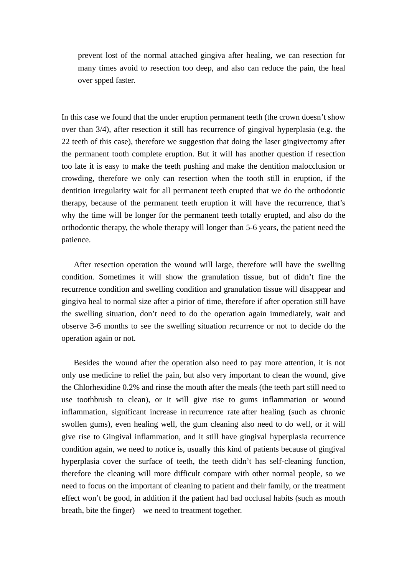prevent lost of the normal attached gingiva after healing, we can resection for many times avoid to resection too deep, and also can reduce the pain, the heal over spped faster.

In this case we found that the under eruption permanent teeth (the crown doesn't show over than 3/4), after resection it still has recurrence of gingival hyperplasia (e.g. the 22 teeth of this case), therefore we suggestion that doing the laser gingivectomy after the permanent tooth complete eruption. But it will has another question if resection too late it is easy to make the teeth pushing and make the dentition malocclusion or crowding, therefore we only can resection when the tooth still in eruption, if the dentition irregularity wait for all permanent teeth erupted that we do the orthodontic therapy, because of the permanent teeth eruption it will have the recurrence, that's why the time will be longer for the permanent teeth totally erupted, and also do the orthodontic therapy, the whole therapy will longer than 5-6 years, the patient need the patience.

 After resection operation the wound will large, therefore will have the swelling condition. Sometimes it will show the granulation tissue, but of didn't fine the recurrence condition and swelling condition and granulation tissue will disappear and gingiva heal to normal size after a pirior of time, therefore if after operation still have the swelling situation, don't need to do the operation again immediately, wait and observe 3-6 months to see the swelling situation recurrence or not to decide do the operation again or not.

 Besides the wound after the operation also need to pay more attention, it is not only use medicine to relief the pain, but also very important to clean the wound, give the Chlorhexidine 0.2% and rinse the mouth after the meals (the teeth part still need to use toothbrush to clean), or it will give rise to gums inflammation or wound inflammation, significant increase in recurrence rate after healing (such as chronic swollen gums), even healing well, the gum cleaning also need to do well, or it will give rise to Gingival inflammation, and it still have gingival hyperplasia recurrence condition again, we need to notice is, usually this kind of patients because of gingival hyperplasia cover the surface of teeth, the teeth didn't has self-cleaning function, therefore the cleaning will more difficult compare with other normal people, so we need to focus on the important of cleaning to patient and their family, or the treatment effect won't be good, in addition if the patient had bad occlusal habits (such as mouth breath, bite the finger) we need to treatment together.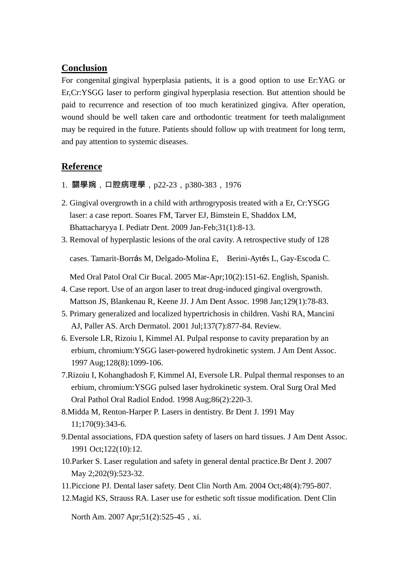#### **Conclusion**

For congenital gingival hyperplasia patients, it is a good option to use Er:YAG or Er,Cr:YSGG laser to perform gingival hyperplasia resection. But attention should be paid to recurrence and resection of too much keratinized gingiva. After operation, wound should be well taken care and orthodontic treatment for teeth malalignment may be required in the future. Patients should follow up with treatment for long term, and pay attention to systemic diseases.

#### **Reference**

- 1. 關學婉,口腔病理學,p22-23,p380-383,1976
- 2. Gingival overgrowth in a child with arthrogryposis treated with a Er, Cr:YSGG laser: a case report. Soares FM, Tarver EJ, Bimstein E, Shaddox LM, Bhattacharyya I. Pediatr Dent. 2009 Jan-Feb;31(1):8-13.
- 3. Removal of hyperplastic lesions of the oral cavity. A retrospective study of 128

cases. Tamarit-Borrás M, Delgado-Molina E, Berini-Aytés L, Gay-Escoda C.

Med Oral Patol Oral Cir Bucal. 2005 Mar-Apr;10(2):151-62. English, Spanish.

- 4. Case report. Use of an argon laser to treat drug-induced gingival overgrowth. Mattson JS, Blankenau R, Keene JJ. J Am Dent Assoc. 1998 Jan;129(1):78-83.
- 5. Primary generalized and localized hypertrichosis in children. Vashi RA, Mancini AJ, Paller AS. Arch Dermatol. 2001 Jul;137(7):877-84. Review.
- 6. Eversole LR, Rizoiu I, Kimmel AI. Pulpal response to cavity preparation by an erbium, chromium:YSGG laser-powered hydrokinetic system. J Am Dent Assoc. 1997 Aug;128(8):1099-106.
- 7.Rizoiu I, Kohanghadosh F, Kimmel AI, Eversole LR. Pulpal thermal responses to an erbium, chromium:YSGG pulsed laser hydrokinetic system. Oral Surg Oral Med Oral Pathol Oral Radiol Endod. 1998 Aug;86(2):220-3.
- 8.Midda M, Renton-Harper P. Lasers in dentistry. Br Dent J. 1991 May 11;170(9):343-6.
- 9.Dental associations, FDA question safety of lasers on hard tissues. J Am Dent Assoc. 1991 Oct;122(10):12.
- 10.Parker S. Laser regulation and safety in general dental practice.Br Dent J. 2007 May 2;202(9):523-32.
- 11.Piccione PJ. Dental laser safety. Dent Clin North Am. 2004 Oct;48(4):795-807.
- 12.Magid KS, Strauss RA. Laser use for esthetic soft tissue modification. Dent Clin

North Am. 2007 Apr; 51(2): 525-45, xi.